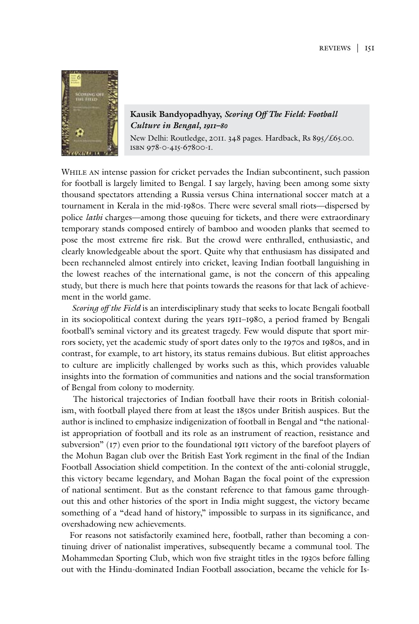

**Kausik Bandyopadhyay,** *Scoring Off The Field: Football Culture in Bengal, 1911–80*

New Delhi: Routledge, 2011. 348 pages. Hardback, Rs 895/£65.00. isbn 978-0-415-67800-1.

While an intense passion for cricket pervades the Indian subcontinent, such passion for football is largely limited to Bengal. I say largely, having been among some sixty thousand spectators attending a Russia versus China international soccer match at a tournament in Kerala in the mid-1980s. There were several small riots—dispersed by police *lathi* charges—among those queuing for tickets, and there were extraordinary temporary stands composed entirely of bamboo and wooden planks that seemed to pose the most extreme fire risk. But the crowd were enthralled, enthusiastic, and clearly knowledgeable about the sport. Quite why that enthusiasm has dissipated and been rechanneled almost entirely into cricket, leaving Indian football languishing in the lowest reaches of the international game, is not the concern of this appealing study, but there is much here that points towards the reasons for that lack of achievement in the world game.

*Scoring off the Field* is an interdisciplinary study that seeks to locate Bengali football in its sociopolitical context during the years 1911–1980, a period framed by Bengali football's seminal victory and its greatest tragedy. Few would dispute that sport mirrors society, yet the academic study of sport dates only to the 1970s and 1980s, and in contrast, for example, to art history, its status remains dubious. But elitist approaches to culture are implicitly challenged by works such as this, which provides valuable insights into the formation of communities and nations and the social transformation of Bengal from colony to modernity.

 The historical trajectories of Indian football have their roots in British colonialism, with football played there from at least the 1850s under British auspices. But the author is inclined to emphasize indigenization of football in Bengal and "the nationalist appropriation of football and its role as an instrument of reaction, resistance and subversion" (17) even prior to the foundational 1911 victory of the barefoot players of the Mohun Bagan club over the British East York regiment in the final of the Indian Football Association shield competition. In the context of the anti-colonial struggle, this victory became legendary, and Mohan Bagan the focal point of the expression of national sentiment. But as the constant reference to that famous game throughout this and other histories of the sport in India might suggest, the victory became something of a "dead hand of history," impossible to surpass in its significance, and overshadowing new achievements.

For reasons not satisfactorily examined here, football, rather than becoming a continuing driver of nationalist imperatives, subsequently became a communal tool. The Mohammedan Sporting Club, which won five straight titles in the 1930s before falling out with the Hindu-dominated Indian Football association, became the vehicle for Is